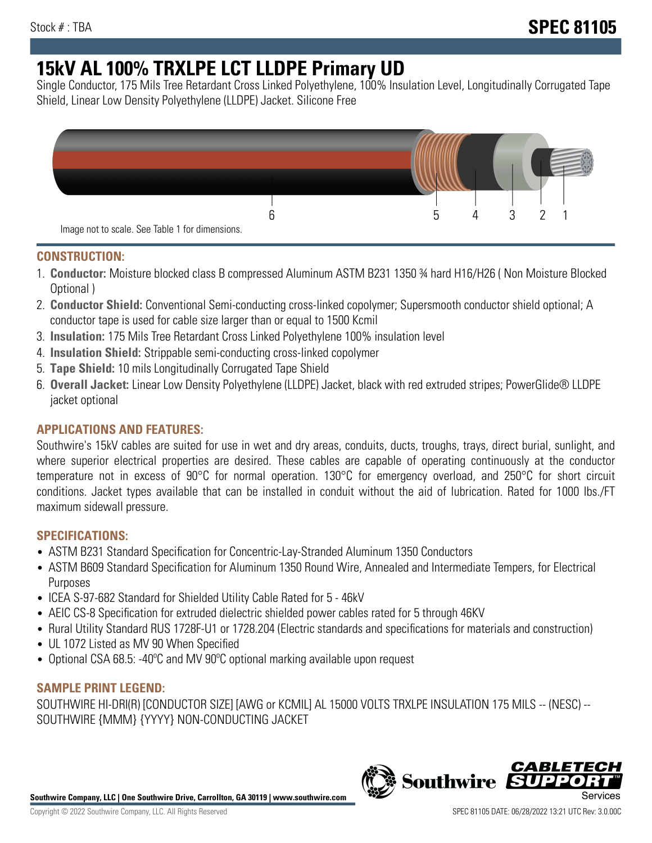# **15kV AL 100% TRXLPE LCT LLDPE Primary UD**

Single Conductor, 175 Mils Tree Retardant Cross Linked Polyethylene, 100% Insulation Level, Longitudinally Corrugated Tape Shield, Linear Low Density Polyethylene (LLDPE) Jacket. Silicone Free



## **CONSTRUCTION:**

- 1. **Conductor:** Moisture blocked class B compressed Aluminum ASTM B231 1350 ¾ hard H16/H26 ( Non Moisture Blocked Optional )
- 2. **Conductor Shield:** Conventional Semi-conducting cross-linked copolymer; Supersmooth conductor shield optional; A conductor tape is used for cable size larger than or equal to 1500 Kcmil
- 3. **Insulation:** 175 Mils Tree Retardant Cross Linked Polyethylene 100% insulation level
- 4. **Insulation Shield:** Strippable semi-conducting cross-linked copolymer
- 5. **Tape Shield:** 10 mils Longitudinally Corrugated Tape Shield
- 6. **Overall Jacket:** Linear Low Density Polyethylene (LLDPE) Jacket, black with red extruded stripes; PowerGlide® LLDPE jacket optional

# **APPLICATIONS AND FEATURES:**

Southwire's 15kV cables are suited for use in wet and dry areas, conduits, ducts, troughs, trays, direct burial, sunlight, and where superior electrical properties are desired. These cables are capable of operating continuously at the conductor temperature not in excess of 90°C for normal operation. 130°C for emergency overload, and 250°C for short circuit conditions. Jacket types available that can be installed in conduit without the aid of lubrication. Rated for 1000 lbs./FT maximum sidewall pressure.

## **SPECIFICATIONS:**

- ASTM B231 Standard Specification for Concentric-Lay-Stranded Aluminum 1350 Conductors
- ASTM B609 Standard Specification for Aluminum 1350 Round Wire, Annealed and Intermediate Tempers, for Electrical Purposes
- ICEA S-97-682 Standard for Shielded Utility Cable Rated for 5 46kV
- AEIC CS-8 Specification for extruded dielectric shielded power cables rated for 5 through 46KV
- Rural Utility Standard RUS 1728F-U1 or 1728.204 (Electric standards and specifications for materials and construction)
- UL 1072 Listed as MV 90 When Specified
- Optional CSA 68.5: -40ºC and MV 90ºC optional marking available upon request

## **SAMPLE PRINT LEGEND:**

SOUTHWIRE HI-DRI(R) [CONDUCTOR SIZE] [AWG or KCMIL] AL 15000 VOLTS TRXLPE INSULATION 175 MILS -- (NESC) -- SOUTHWIRE {MMM} {YYYY} NON-CONDUCTING JACKET

**Southwire Company, LLC | One Southwire Drive, Carrollton, GA 30119 | www.southwire.com**

*CABLE*